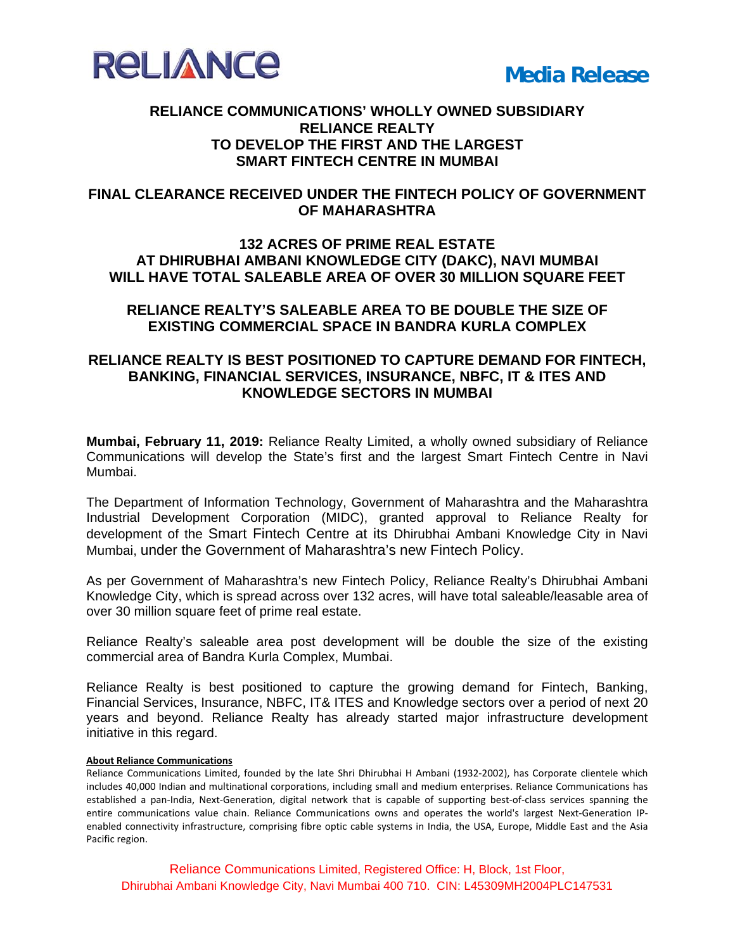

### **RELIANCE COMMUNICATIONS' WHOLLY OWNED SUBSIDIARY RELIANCE REALTY TO DEVELOP THE FIRST AND THE LARGEST SMART FINTECH CENTRE IN MUMBAI**

## **FINAL CLEARANCE RECEIVED UNDER THE FINTECH POLICY OF GOVERNMENT OF MAHARASHTRA**

# **132 ACRES OF PRIME REAL ESTATE AT DHIRUBHAI AMBANI KNOWLEDGE CITY (DAKC), NAVI MUMBAI WILL HAVE TOTAL SALEABLE AREA OF OVER 30 MILLION SQUARE FEET**

### **RELIANCE REALTY'S SALEABLE AREA TO BE DOUBLE THE SIZE OF EXISTING COMMERCIAL SPACE IN BANDRA KURLA COMPLEX**

### **RELIANCE REALTY IS BEST POSITIONED TO CAPTURE DEMAND FOR FINTECH, BANKING, FINANCIAL SERVICES, INSURANCE, NBFC, IT & ITES AND KNOWLEDGE SECTORS IN MUMBAI**

**Mumbai, February 11, 2019:** Reliance Realty Limited, a wholly owned subsidiary of Reliance Communications will develop the State's first and the largest Smart Fintech Centre in Navi Mumbai.

The Department of Information Technology, Government of Maharashtra and the Maharashtra Industrial Development Corporation (MIDC), granted approval to Reliance Realty for development of the Smart Fintech Centre at its Dhirubhai Ambani Knowledge City in Navi Mumbai, under the Government of Maharashtra's new Fintech Policy.

As per Government of Maharashtra's new Fintech Policy, Reliance Realty's Dhirubhai Ambani Knowledge City, which is spread across over 132 acres, will have total saleable/leasable area of over 30 million square feet of prime real estate.

Reliance Realty's saleable area post development will be double the size of the existing commercial area of Bandra Kurla Complex, Mumbai.

Reliance Realty is best positioned to capture the growing demand for Fintech, Banking, Financial Services, Insurance, NBFC, IT& ITES and Knowledge sectors over a period of next 20 years and beyond. Reliance Realty has already started major infrastructure development initiative in this regard.

#### **About Reliance Communications**

Reliance Communications Limited, founded by the late Shri Dhirubhai H Ambani (1932‐2002), has Corporate clientele which includes 40,000 Indian and multinational corporations, including small and medium enterprises. Reliance Communications has established a pan-India, Next-Generation, digital network that is capable of supporting best-of-class services spanning the entire communications value chain. Reliance Communications owns and operates the world's largest Next-Generation IPenabled connectivity infrastructure, comprising fibre optic cable systems in India, the USA, Europe, Middle East and the Asia Pacific region.

Reliance Communications Limited, Registered Office: H, Block, 1st Floor, Dhirubhai Ambani Knowledge City, Navi Mumbai 400 710. CIN: L45309MH2004PLC147531